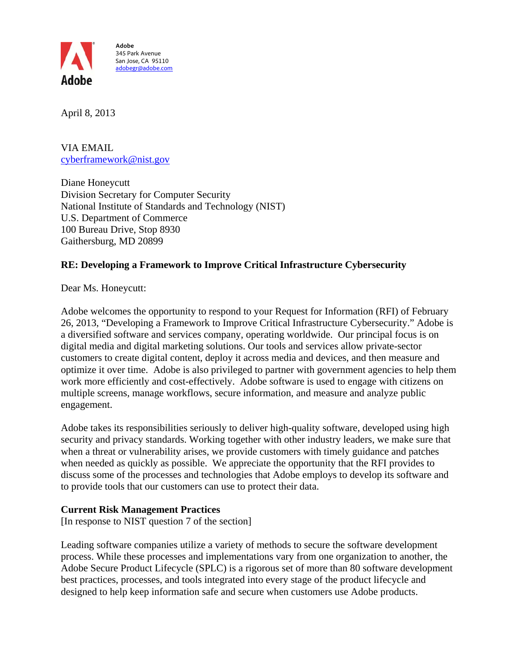

 adobegr@adobe.com **Adobe**  345 Park Avenue San Jose, CA 95110

April 8, 2013

VIA EMAIL cyberframework@nist.gov

Diane Honeycutt Division Secretary for Computer Security National Institute of Standards and Technology (NIST) U.S. Department of Commerce 100 Bureau Drive, Stop 8930 Gaithersburg, MD 20899

## **RE: Developing a Framework to Improve Critical Infrastructure Cybersecurity**

Dear Ms. Honeycutt:

Adobe welcomes the opportunity to respond to your Request for Information (RFI) of February 26, 2013, "Developing a Framework to Improve Critical Infrastructure Cybersecurity." Adobe is a diversified software and services company, operating worldwide. Our principal focus is on digital media and digital marketing solutions. Our tools and services allow private-sector customers to create digital content, deploy it across media and devices, and then measure and optimize it over time. Adobe is also privileged to partner with government agencies to help them work more efficiently and cost-effectively. Adobe software is used to engage with citizens on multiple screens, manage workflows, secure information, and measure and analyze public engagement.

Adobe takes its responsibilities seriously to deliver high-quality software, developed using high security and privacy standards. Working together with other industry leaders, we make sure that when a threat or vulnerability arises, we provide customers with timely guidance and patches when needed as quickly as possible. We appreciate the opportunity that the RFI provides to discuss some of the processes and technologies that Adobe employs to develop its software and to provide tools that our customers can use to protect their data.

## **Current Risk Management Practices**

[In response to NIST question 7 of the section]

Leading software companies utilize a variety of methods to secure the software development process. While these processes and implementations vary from one organization to another, the Adobe Secure Product Lifecycle (SPLC) is a rigorous set of more than 80 software development best practices, processes, and tools integrated into every stage of the product lifecycle and designed to help keep information safe and secure when customers use Adobe products.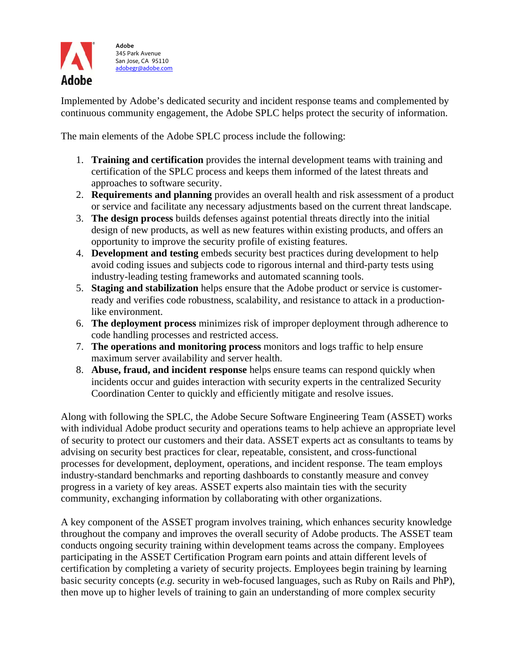

Implemented by Adobe's dedicated security and incident response teams and complemented by continuous community engagement, the Adobe SPLC helps protect the security of information.

The main elements of the Adobe SPLC process include the following:

- 1. **Training and certification** provides the internal development teams with training and certification of the SPLC process and keeps them informed of the latest threats and approaches to software security.
- 2. **Requirements and planning** provides an overall health and risk assessment of a product or service and facilitate any necessary adjustments based on the current threat landscape.
- 3. **The design process** builds defenses against potential threats directly into the initial design of new products, as well as new features within existing products, and offers an opportunity to improve the security profile of existing features.
- 4. **Development and testing** embeds security best practices during development to help avoid coding issues and subjects code to rigorous internal and third-party tests using industry-leading testing frameworks and automated scanning tools.
- 5. **Staging and stabilization** helps ensure that the Adobe product or service is customerready and verifies code robustness, scalability, and resistance to attack in a productionlike environment.
- 6. **The deployment process** minimizes risk of improper deployment through adherence to code handling processes and restricted access.
- 7. **The operations and monitoring process** monitors and logs traffic to help ensure maximum server availability and server health.
- 8. **Abuse, fraud, and incident response** helps ensure teams can respond quickly when incidents occur and guides interaction with security experts in the centralized Security Coordination Center to quickly and efficiently mitigate and resolve issues.

Along with following the SPLC, the Adobe Secure Software Engineering Team (ASSET) works with individual Adobe product security and operations teams to help achieve an appropriate level of security to protect our customers and their data. ASSET experts act as consultants to teams by advising on security best practices for clear, repeatable, consistent, and cross-functional processes for development, deployment, operations, and incident response. The team employs industry-standard benchmarks and reporting dashboards to constantly measure and convey progress in a variety of key areas. ASSET experts also maintain ties with the security community, exchanging information by collaborating with other organizations.

A key component of the ASSET program involves training, which enhances security knowledge throughout the company and improves the overall security of Adobe products. The ASSET team conducts ongoing security training within development teams across the company. Employees participating in the ASSET Certification Program earn points and attain different levels of certification by completing a variety of security projects. Employees begin training by learning basic security concepts (*e.g.* security in web-focused languages, such as Ruby on Rails and PhP), then move up to higher levels of training to gain an understanding of more complex security